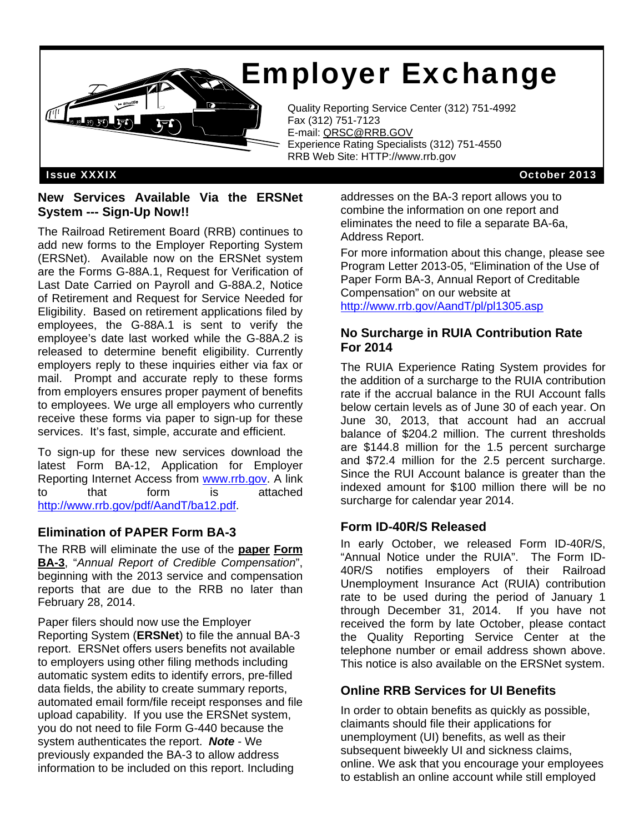# Employer Exchange



Quality Reporting Service Center (312) 751-4992<br>Fax (312) 751-7123 Fax (312) 751-7123 E-mail: QRSC@RRB.GOV Experience Rating Specialists (312) 751-4550 RRB Web Site: HTTP://www.rrb.gov

Issue XXXIX October 2013

#### **New Services Available Via the ERSNet System --- Sign-Up Now!!**

 (ERSNet). Available now on the ERSNet system The Railroad Retirement Board (RRB) continues to add new forms to the Employer Reporting System are the Forms G-88A.1, Request for Verification of Last Date Carried on Payroll and G-88A.2, Notice of Retirement and Request for Service Needed for Eligibility. Based on retirement applications filed by employees, the G-88A.1 is sent to verify the employee's date last worked while the G-88A.2 is released to determine benefit eligibility. Currently employers reply to these inquiries either via fax or mail. Prompt and accurate reply to these forms from employers ensures proper payment of benefits to employees. We urge all employers who currently receive these forms via paper to sign-up for these services. It's fast, simple, accurate and efficient.

To sign-up for these new services download the latest Form BA-12, Application for Employer Reporting Internet Access from www.rrb.gov. A link to that form is attached http://www.rrb.gov/pdf/AandT/ba12.pdf.

### **Elimination of PAPER Form BA-3**

The RRB will eliminate the use of the **paper Form BA-3**, "*Annual Report of Credible Compensation*", beginning with the 2013 service and compensation reports that are due to the RRB no later than February 28, 2014.

Paper filers should now use the Employer Reporting System (**ERSNet**) to file the annual BA-3 report. ERSNet offers users benefits not available to employers using other filing methods including automatic system edits to identify errors, pre-filled data fields, the ability to create summary reports, automated email form/file receipt responses and file upload capability. If you use the ERSNet system, you do not need to file Form G-440 because the system authenticates the report. *Note* - We previously expanded the BA-3 to allow address information to be included on this report. Including

addresses on the BA-3 report allows you to combine the information on one report and eliminates the need to file a separate BA-6a, Address Report.

For more information about this change, please see Program Letter 2013-05, "Elimination of the Use of Paper Form BA-3, Annual Report of Creditable Compensation" on our website at http://www.rrb.gov/AandT/pl/pl1305.asp

#### **No Surcharge in RUIA Contribution Rate For 2014**

The RUIA Experience Rating System provides for the addition of a surcharge to the RUIA contribution rate if the accrual balance in the RUI Account falls below certain levels as of June 30 of each year. On June 30, 2013, that account had an accrual balance of \$204.2 million. The current thresholds are \$144.8 million for the 1.5 percent surcharge and \$72.4 million for the 2.5 percent surcharge. Since the RUI Account balance is greater than the indexed amount for \$100 million there will be no surcharge for calendar year 2014.

### **Form ID-40R/S Released**

In early October, we released Form ID-40R/S, "Annual Notice under the RUIA". The Form ID-40R/S notifies employers of their Railroad Unemployment Insurance Act (RUIA) contribution rate to be used during the period of January 1 through December 31, 2014. If you have not received the form by late October, please contact the Quality Reporting Service Center at the telephone number or email address shown above. This notice is also available on the ERSNet system.

### **Online RRB Services for UI Benefits**

In order to obtain benefits as quickly as possible, claimants should file their applications for unemployment (UI) benefits, as well as their subsequent biweekly UI and sickness claims, online. We ask that you encourage your employees to establish an online account while still employed